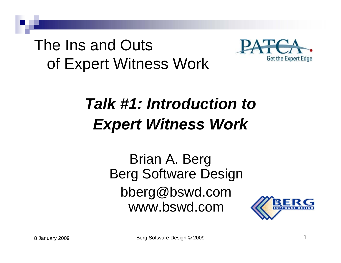#### The Ins and Outs of Expert Witness Work



#### *Talk #1: Introduction toExpert Witness Work*

Brian A. Berg Berg Software Design bberg@bswd.com www.bswd.com

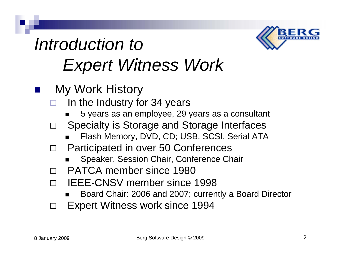

- My Work History
	- $\Box$  In the Industry for 34 years
		- $\blacksquare$ 5 years as an employee, 29 years as a consultant
	- $\Box$  Specialty is Storage and Storage Interfaces
		- $\blacksquare$ Flash Memory, DVD, CD; USB, SCSI, Serial ATA
	- $\Box$  Participated in over 50 Conferences
		- ▉ Speaker, Session Chair, Conference Chair
	- $\Box$ PATCA member since 1980
	- $\Box$  IEEE-CNSV member since 1998
		- $\blacksquare$ Board Chair: 2006 and 2007; currently a Board Director
	- $\Box$ Expert Witness work since 1994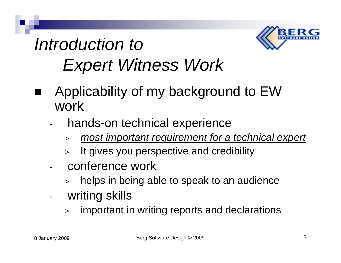

- Applicability of my background to EW work
	- hands-on technical experience
		- <sup>&</sup>gt;*most important requirement for a technical expert*
		- > It gives you perspective and credibility
	- conference work
		- helps in being able to speak to an audience
	- writing skills
		- > important in writing reports and declarations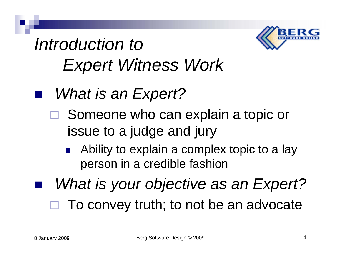

- *What is an Expert?*
	- □ Someone who can explain a topic or issue to a judge and jury
		- P. Ability to explain a complex topic to a lay person in a credible fashion
	- *What is your objective as an Expert?*
	- $\Box$ To convey truth; to not be an advocate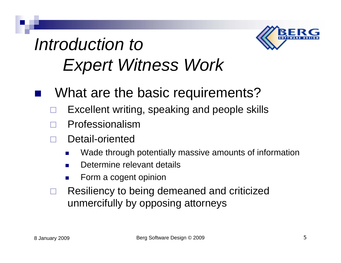

- What are the basic requirements?
- $\Box$ Excellent writing, speaking and people skills
- $\Box$ Professionalism
- $\Box$  Detail-oriented
	- $\mathcal{L}_{\text{max}}$ Wade through potentially massive amounts of information
	- **COL** Determine relevant details
	- $\mathcal{L}_{\mathcal{A}}$ Form a cogent opinion
- $\Box$  Resiliency to being demeaned and criticized unmercifully by opposing attorneys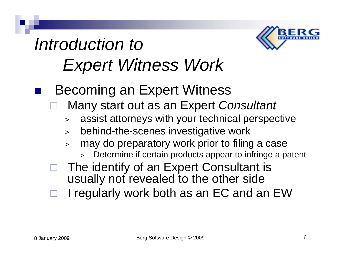

- Becoming an Expert Witness
	- $\Box$  Many start out as an Expert *Consultant*
		- assist attorneys with your technical perspective
		- behind-the-scenes investigative work
		- may do preparatory work prior to filing a case
			- Determine if certain products appear to infringe a patent
	- $\Box$  The identify of an Expert Consultant is usually not revealed to the other side
	- $\Box$ I regularly work both as an EC and an EW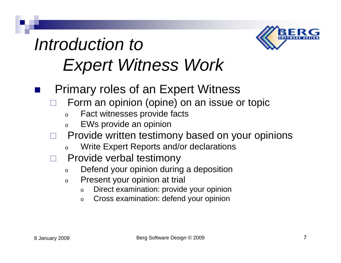

- Primary roles of an Expert Witness
	- $\Box$  Form an opinion (opine) on an issue or topic
		- o Fact witnesses provide facts
		- o EWs provide an opinion
	- $\Box$  Provide written testimony based on your opinions
		- o Write Expert Reports and/or declarations
	- $\Box$  Provide verbal testimony
		- o Defend your opinion during a deposition
		- o Present your opinion at trial
			- o Direct examination: provide your opinion
			- o Cross examination: defend your opinion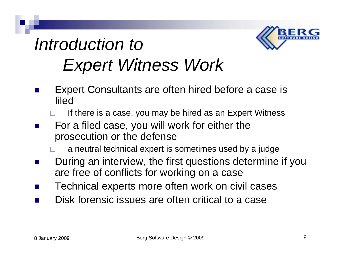

- M. Expert Consultants are often hired before a case is filed
	- $\Box$ If there is a case, you may be hired as an Expert Witness
- M. For a filed case, you will work for either the prosecution or the defense
	- $\Box$ a neutral technical expert is sometimes used by a judge
- M. During an interview, the first questions determine if you are free of conflicts for working on a case
- $\mathcal{L}_{\text{max}}$ Technical experts more often work on civil cases
- M. Disk forensic issues are often critical to a case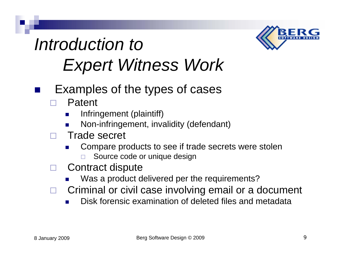

- Examples of the types of cases
	- $\Box$  Patent
		- × Infringement (plaintiff)
		- × Non-infringement, invalidity (defendant)
	- $\Box$  Trade secret
		- × Compare products to see if trade secrets were stolen  $\Box$ Source code or unique design
	- $\Box$  Contract dispute
		- × Was a product delivered per the requirements?
	- $\Box$  Criminal or civil case involving email or a document
		- × Disk forensic examination of deleted files and metadata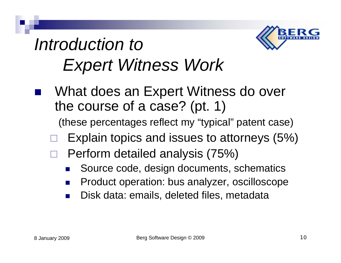

 What does an Expert Witness do over the course of a case? (pt. 1)

(these percentages reflect my "typical" patent case)

- $\Box$ Explain topics and issues to attorneys (5%)
- $\Box$  Perform detailed analysis (75%)
	- $\mathbb{R}^2$ Source code, design documents, schematics
	- $\mathbb{R}^2$ Product operation: bus analyzer, oscilloscope
	- $\mathcal{L}^{\text{max}}$ Disk data: emails, deleted files, metadata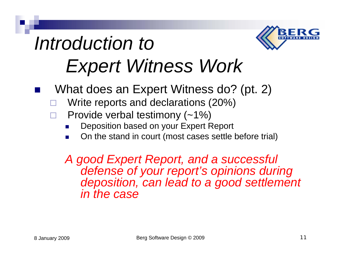# *Introduction to*

# *Expert Witness Work*

- What does an Expert Witness do? (pt. 2)
	- $\Box$ Write reports and declarations (20%)
	- $\Box$  Provide verbal testimony (~1%)
		- × Deposition based on your Expert Report
		- **COL** On the stand in court (most cases settle before trial)

*A good Expert Report, and a successful defense of your report's opinions during deposition, can lead to a good settlement in the case*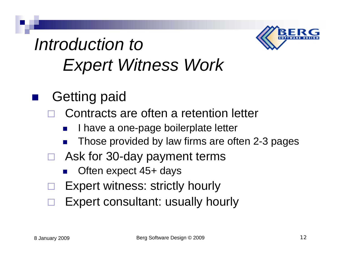

- Getting paid
	- $\Box$  Contracts are often a retention letter
		- $\mathbb{R}^2$ I have a one-page boilerplate letter
		- $\mathbb{R}^3$ Those provided by law firms are often 2-3 pages
	- □ Ask for 30-day payment terms
		- $\mathbb{R}^3$ Often expect 45+ days
	- $\Box$ Expert witness: strictly hourly
	- $\Box$ Expert consultant: usually hourly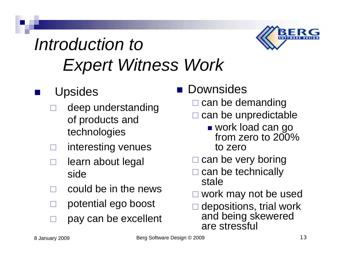

- Upsides
	- $\Box$  deep understanding of products and technologies
	- $\Box$ interesting venues
	- $\Box$  learn about legal side
	- $\Box$ could be in the news
	- $\Box$ potential ego boost
	- $\Box$ pay can be excellent

#### ■ Downsides

- $\square$  can be demanding
- $\Box$  can be unpredictable
	- work load can go from zero to 200% to zero
- $\square$  can be very boring
- $\square$  can be technically stale
- $\Box$ work may not be used
- $\Box$  depositions, trial work and being skewered are stressful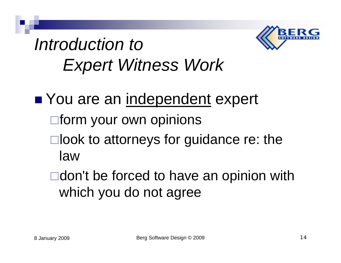

■ You are an independent expert  $\Box$  form your own opinions  $\square$ look to attorneys for guidance re: the law**□don't be forced to have an opinion with** 

which you do not agree